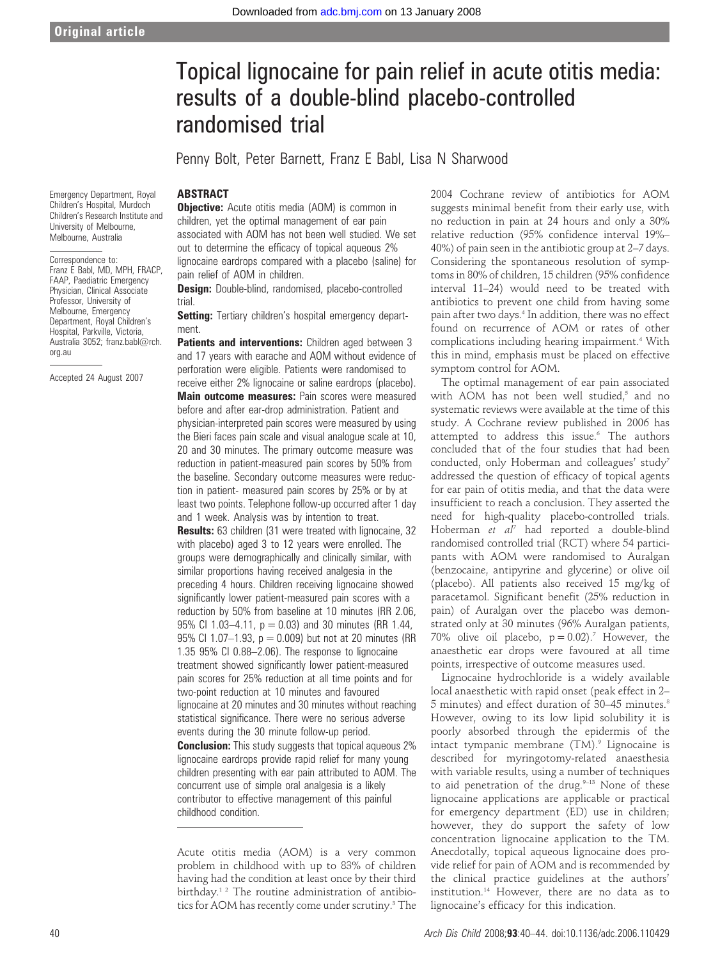# Topical lignocaine for pain relief in acute otitis media: results of a double-blind placebo-controlled randomised trial

Penny Bolt, Peter Barnett, Franz E Babl, Lisa N Sharwood

# **ARSTRACT**

**Objective:** Acute otitis media (AOM) is common in children, yet the optimal management of ear pain associated with AOM has not been well studied. We set out to determine the efficacy of topical aqueous 2% lignocaine eardrops compared with a placebo (saline) for pain relief of AOM in children.

Design: Double-blind, randomised, placebo-controlled trial.

**Setting:** Tertiary children's hospital emergency department.

Patients and interventions: Children aged between 3 and 17 years with earache and AOM without evidence of perforation were eligible. Patients were randomised to receive either 2% lignocaine or saline eardrops (placebo). Main outcome measures: Pain scores were measured before and after ear-drop administration. Patient and physician-interpreted pain scores were measured by using the Bieri faces pain scale and visual analogue scale at 10, 20 and 30 minutes. The primary outcome measure was reduction in patient-measured pain scores by 50% from the baseline. Secondary outcome measures were reduction in patient- measured pain scores by 25% or by at least two points. Telephone follow-up occurred after 1 day and 1 week. Analysis was by intention to treat. Results: 63 children (31 were treated with lignocaine, 32 with placebo) aged 3 to 12 years were enrolled. The groups were demographically and clinically similar, with similar proportions having received analgesia in the preceding 4 hours. Children receiving lignocaine showed significantly lower patient-measured pain scores with a reduction by 50% from baseline at 10 minutes (RR 2.06, 95% CI 1.03-4.11,  $p = 0.03$ ) and 30 minutes (RR 1.44, 95% CI 1.07-1.93,  $p = 0.009$ ) but not at 20 minutes (RR 1.35 95% CI 0.88–2.06). The response to lignocaine treatment showed significantly lower patient-measured pain scores for 25% reduction at all time points and for two-point reduction at 10 minutes and favoured lignocaine at 20 minutes and 30 minutes without reaching statistical significance. There were no serious adverse events during the 30 minute follow-up period. **Conclusion:** This study suggests that topical aqueous 2% lignocaine eardrops provide rapid relief for many young children presenting with ear pain attributed to AOM. The concurrent use of simple oral analgesia is a likely

Acute otitis media (AOM) is a very common problem in childhood with up to 83% of children having had the condition at least once by their third birthday.<sup>12</sup> The routine administration of antibiotics for AOM has recently come under scrutiny.<sup>3</sup> The

contributor to effective management of this painful

childhood condition.

2004 Cochrane review of antibiotics for AOM suggests minimal benefit from their early use, with no reduction in pain at 24 hours and only a 30% relative reduction (95% confidence interval 19%– 40%) of pain seen in the antibiotic group at 2–7 days. Considering the spontaneous resolution of symptoms in 80% of children, 15 children (95% confidence interval 11–24) would need to be treated with antibiotics to prevent one child from having some pain after two days.<sup>4</sup> In addition, there was no effect found on recurrence of AOM or rates of other complications including hearing impairment.<sup>4</sup> With this in mind, emphasis must be placed on effective symptom control for AOM.

The optimal management of ear pain associated with AOM has not been well studied,<sup>5</sup> and no systematic reviews were available at the time of this study. A Cochrane review published in 2006 has attempted to address this issue.<sup>6</sup> The authors concluded that of the four studies that had been conducted, only Hoberman and colleagues' study<sup>7</sup> addressed the question of efficacy of topical agents for ear pain of otitis media, and that the data were insufficient to reach a conclusion. They asserted the need for high-quality placebo-controlled trials. Hoberman et al<sup>7</sup> had reported a double-blind randomised controlled trial (RCT) where 54 participants with AOM were randomised to Auralgan (benzocaine, antipyrine and glycerine) or olive oil (placebo). All patients also received 15 mg/kg of paracetamol. Significant benefit (25% reduction in pain) of Auralgan over the placebo was demonstrated only at 30 minutes (96% Auralgan patients, 70% olive oil placebo,  $p = 0.02$ ).<sup>7</sup> However, the anaesthetic ear drops were favoured at all time points, irrespective of outcome measures used.

Lignocaine hydrochloride is a widely available local anaesthetic with rapid onset (peak effect in 2– 5 minutes) and effect duration of 30–45 minutes.8 However, owing to its low lipid solubility it is poorly absorbed through the epidermis of the intact tympanic membrane  $(TM)$ .<sup>9</sup> Lignocaine is described for myringotomy-related anaesthesia with variable results, using a number of techniques to aid penetration of the drug. $9-13$  None of these lignocaine applications are applicable or practical for emergency department (ED) use in children; however, they do support the safety of low concentration lignocaine application to the TM. Anecdotally, topical aqueous lignocaine does provide relief for pain of AOM and is recommended by the clinical practice guidelines at the authors' institution.14 However, there are no data as to lignocaine's efficacy for this indication.

Emergency Department, Royal Children's Hospital, Murdoch Children's Research Institute and University of Melbourne, Melbourne, Australia

## Correspondence to:

Franz E Babl, MD, MPH, FRACP, FAAP, Paediatric Emergency Physician, Clinical Associate Professor, University of Melbourne, Emergency Department, Royal Children's Hospital, Parkville, Victoria, Australia 3052; franz.babl@rch. org.au

Accepted 24 August 2007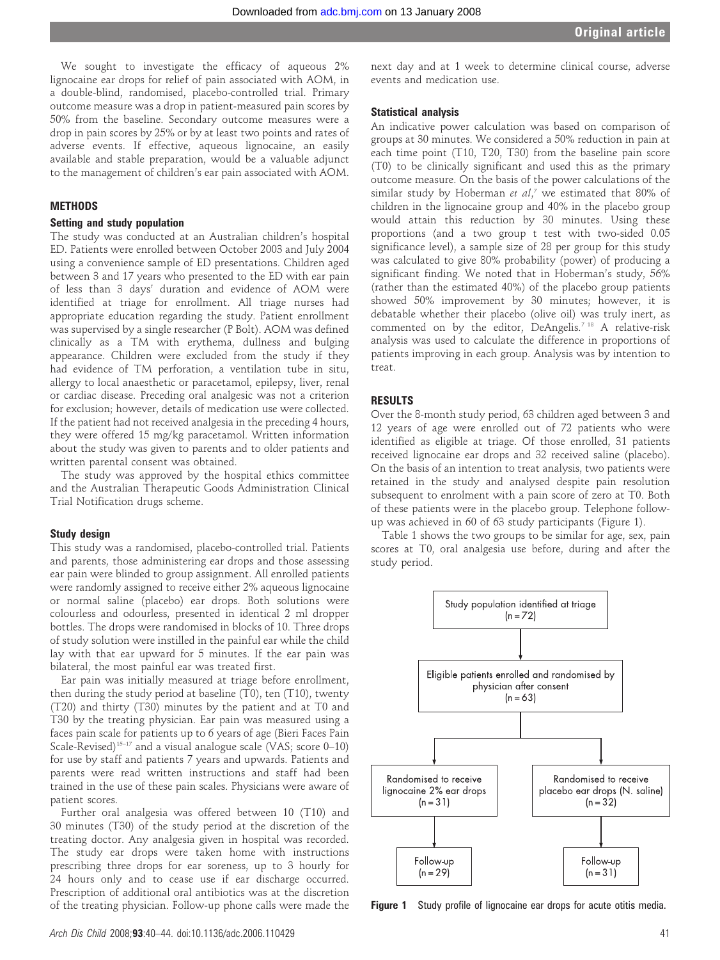We sought to investigate the efficacy of aqueous 2% lignocaine ear drops for relief of pain associated with AOM, in a double-blind, randomised, placebo-controlled trial. Primary outcome measure was a drop in patient-measured pain scores by 50% from the baseline. Secondary outcome measures were a drop in pain scores by 25% or by at least two points and rates of adverse events. If effective, aqueous lignocaine, an easily available and stable preparation, would be a valuable adjunct to the management of children's ear pain associated with AOM.

#### **METHODS**

## Setting and study population

The study was conducted at an Australian children's hospital ED. Patients were enrolled between October 2003 and July 2004 using a convenience sample of ED presentations. Children aged between 3 and 17 years who presented to the ED with ear pain of less than 3 days' duration and evidence of AOM were identified at triage for enrollment. All triage nurses had appropriate education regarding the study. Patient enrollment was supervised by a single researcher (P Bolt). AOM was defined clinically as a TM with erythema, dullness and bulging appearance. Children were excluded from the study if they had evidence of TM perforation, a ventilation tube in situ, allergy to local anaesthetic or paracetamol, epilepsy, liver, renal or cardiac disease. Preceding oral analgesic was not a criterion for exclusion; however, details of medication use were collected. If the patient had not received analgesia in the preceding 4 hours, they were offered 15 mg/kg paracetamol. Written information about the study was given to parents and to older patients and written parental consent was obtained.

The study was approved by the hospital ethics committee and the Australian Therapeutic Goods Administration Clinical Trial Notification drugs scheme.

#### Study design

This study was a randomised, placebo-controlled trial. Patients and parents, those administering ear drops and those assessing ear pain were blinded to group assignment. All enrolled patients were randomly assigned to receive either 2% aqueous lignocaine or normal saline (placebo) ear drops. Both solutions were colourless and odourless, presented in identical 2 ml dropper bottles. The drops were randomised in blocks of 10. Three drops of study solution were instilled in the painful ear while the child lay with that ear upward for 5 minutes. If the ear pain was bilateral, the most painful ear was treated first.

Ear pain was initially measured at triage before enrollment, then during the study period at baseline (T0), ten (T10), twenty (T20) and thirty (T30) minutes by the patient and at T0 and T30 by the treating physician. Ear pain was measured using a faces pain scale for patients up to 6 years of age (Bieri Faces Pain Scale-Revised)<sup>15–17</sup> and a visual analogue scale (VAS; score  $0-10$ ) for use by staff and patients 7 years and upwards. Patients and parents were read written instructions and staff had been trained in the use of these pain scales. Physicians were aware of patient scores.

Further oral analgesia was offered between 10 (T10) and 30 minutes (T30) of the study period at the discretion of the treating doctor. Any analgesia given in hospital was recorded. The study ear drops were taken home with instructions prescribing three drops for ear soreness, up to 3 hourly for 24 hours only and to cease use if ear discharge occurred. Prescription of additional oral antibiotics was at the discretion of the treating physician. Follow-up phone calls were made the

next day and at 1 week to determine clinical course, adverse events and medication use.

#### Statistical analysis

An indicative power calculation was based on comparison of groups at 30 minutes. We considered a 50% reduction in pain at each time point (T10, T20, T30) from the baseline pain score (T0) to be clinically significant and used this as the primary outcome measure. On the basis of the power calculations of the similar study by Hoberman et al,<sup>7</sup> we estimated that 80% of children in the lignocaine group and 40% in the placebo group would attain this reduction by 30 minutes. Using these proportions (and a two group t test with two-sided 0.05 significance level), a sample size of 28 per group for this study was calculated to give 80% probability (power) of producing a significant finding. We noted that in Hoberman's study, 56% (rather than the estimated 40%) of the placebo group patients showed 50% improvement by 30 minutes; however, it is debatable whether their placebo (olive oil) was truly inert, as commented on by the editor, DeAngelis.<sup>7 18</sup> A relative-risk analysis was used to calculate the difference in proportions of patients improving in each group. Analysis was by intention to treat.

### RESULTS

Over the 8-month study period, 63 children aged between 3 and 12 years of age were enrolled out of 72 patients who were identified as eligible at triage. Of those enrolled, 31 patients received lignocaine ear drops and 32 received saline (placebo). On the basis of an intention to treat analysis, two patients were retained in the study and analysed despite pain resolution subsequent to enrolment with a pain score of zero at T0. Both of these patients were in the placebo group. Telephone followup was achieved in 60 of 63 study participants (Figure 1).

Table 1 shows the two groups to be similar for age, sex, pain scores at T0, oral analgesia use before, during and after the study period.



Figure 1 Study profile of lignocaine ear drops for acute otitis media.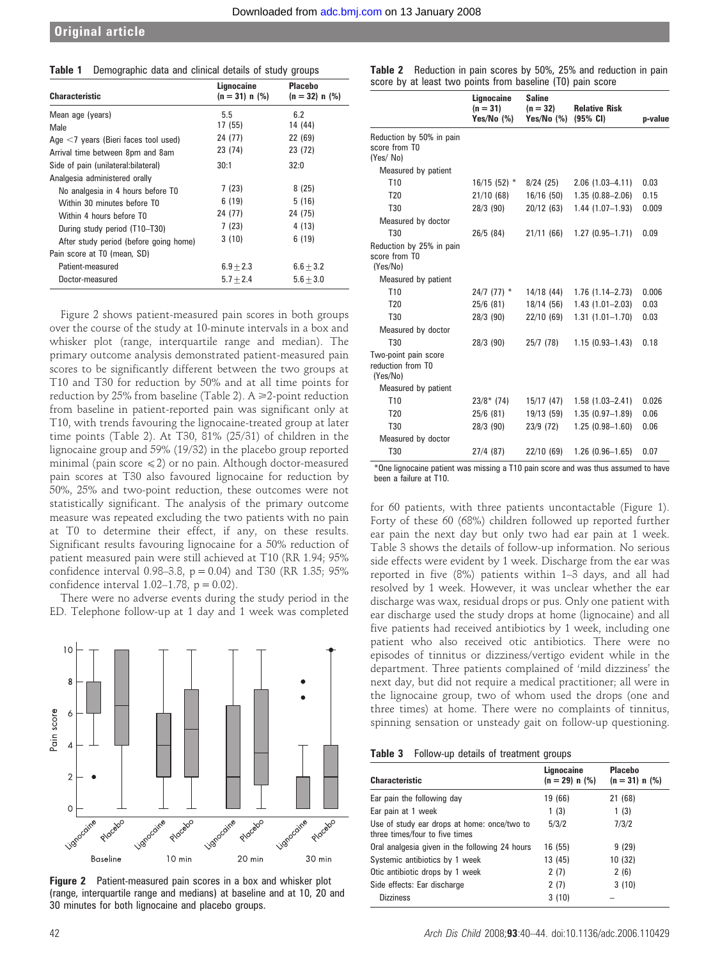| Table 1 | Demographic data and clinical details of study groups |  |
|---------|-------------------------------------------------------|--|
|---------|-------------------------------------------------------|--|

| <b>Characteristic</b>                   | Lignocaine<br>$(n = 31) n$ (%) | <b>Placebo</b><br>$(n = 32) n$ (%) |
|-----------------------------------------|--------------------------------|------------------------------------|
| Mean age (years)                        | 5.5                            | 6.2                                |
| Male                                    | 17 (55)                        | 14 (44)                            |
| Age $<$ 7 years (Bieri faces tool used) | 24 (77)                        | 22 (69)                            |
| Arrival time between 8pm and 8am        | 23 (74)                        | 23 (72)                            |
| Side of pain (unilateral: bilateral)    | 30:1                           | 32:0                               |
| Analgesia administered orally           |                                |                                    |
| No analgesia in 4 hours before TO       | 7(23)                          | 8(25)                              |
| Within 30 minutes before T0             | 6(19)                          | 5(16)                              |
| Within 4 hours before TO                | 24 (77)                        | 24 (75)                            |
| During study period (T10-T30)           | 7(23)                          | 4 (13)                             |
| After study period (before going home)  | 3(10)                          | 6(19)                              |
| Pain score at TO (mean, SD)             |                                |                                    |
| Patient-measured                        | $6.9 + 2.3$                    | $6.6 + 3.2$                        |
| Doctor-measured                         | $5.7 + 2.4$                    | $5.6 + 3.0$                        |

Figure 2 shows patient-measured pain scores in both groups over the course of the study at 10-minute intervals in a box and whisker plot (range, interquartile range and median). The primary outcome analysis demonstrated patient-measured pain scores to be significantly different between the two groups at T10 and T30 for reduction by 50% and at all time points for reduction by 25% from baseline (Table 2).  $A \ge 2$ -point reduction from baseline in patient-reported pain was significant only at T10, with trends favouring the lignocaine-treated group at later time points (Table 2). At T30, 81% (25/31) of children in the lignocaine group and 59% (19/32) in the placebo group reported minimal (pain score  $\leq 2$ ) or no pain. Although doctor-measured pain scores at T30 also favoured lignocaine for reduction by 50%, 25% and two-point reduction, these outcomes were not statistically significant. The analysis of the primary outcome measure was repeated excluding the two patients with no pain at T0 to determine their effect, if any, on these results. Significant results favouring lignocaine for a 50% reduction of patient measured pain were still achieved at T10 (RR 1.94; 95% confidence interval 0.98–3.8,  $p = 0.04$ ) and T30 (RR 1.35; 95% confidence interval  $1.02-1.78$ ,  $p = 0.02$ ).

There were no adverse events during the study period in the ED. Telephone follow-up at 1 day and 1 week was completed



Figure 2 Patient-measured pain scores in a box and whisker plot (range, interquartile range and medians) at baseline and at 10, 20 and 30 minutes for both lignocaine and placebo groups.

| <b>Table 2</b> Reduction in pain scores by 50%, 25% and reduction in pain |
|---------------------------------------------------------------------------|
| score by at least two points from baseline (T0) pain score                |

|                                                       | Lignocaine<br>$(n = 31)$<br>Yes/No (%) | <b>Saline</b><br>$(n = 32)$<br>Yes/No (%) | <b>Relative Risk</b><br>$(95%$ CI) | p-value |
|-------------------------------------------------------|----------------------------------------|-------------------------------------------|------------------------------------|---------|
| Reduction by 50% in pain<br>score from TO<br>(Yes/No) |                                        |                                           |                                    |         |
| Measured by patient                                   |                                        |                                           |                                    |         |
| T <sub>10</sub>                                       | $16/15(52)$ *                          | 8/24(25)                                  | $2.06$ $(1.03 - 4.11)$             | 0.03    |
| T <sub>20</sub>                                       | 21/10(68)                              | 16/16(50)                                 | $1.35(0.88 - 2.06)$                | 0.15    |
| T30                                                   | 28/3 (90)                              | 20/12(63)                                 | $1.44(1.07-1.93)$                  | 0.009   |
| Measured by doctor                                    |                                        |                                           |                                    |         |
| T30                                                   | 26/5(84)                               | 21/11(66)                                 | $1.27(0.95 - 1.71)$                | 0.09    |
| Reduction by 25% in pain<br>score from TO<br>(Yes/No) |                                        |                                           |                                    |         |
| Measured by patient                                   |                                        |                                           |                                    |         |
| T <sub>10</sub>                                       | $24/7$ (77) $*$                        | 14/18 (44)                                | $1.76$ $(1.14 - 2.73)$             | 0.006   |
| T <sub>20</sub>                                       | $25/6$ (81)                            | 18/14(56)                                 | $1.43(1.01 - 2.03)$                | 0.03    |
| T30                                                   | 28/3 (90)                              | 22/10(69)                                 | $1.31(1.01 - 1.70)$                | 0.03    |
| Measured by doctor                                    |                                        |                                           |                                    |         |
| T30                                                   | 28/3 (90)                              | 25/7 (78)                                 | $1.15(0.93 - 1.43)$                | 0.18    |
| Two-point pain score<br>reduction from TO<br>(Yes/No) |                                        |                                           |                                    |         |
| Measured by patient                                   |                                        |                                           |                                    |         |
| T <sub>10</sub>                                       | $23/8*$ (74)                           | 15/17(47)                                 | $1.58(1.03 - 2.41)$                | 0.026   |
| T <sub>20</sub>                                       | $25/6$ (81)                            | 19/13(59)                                 | $1.35(0.97 - 1.89)$                | 0.06    |
| T30                                                   | 28/3 (90)                              | 23/9 (72)                                 | $1.25(0.98 - 1.60)$                | 0.06    |
| Measured by doctor                                    |                                        |                                           |                                    |         |
| T30                                                   | 27/4(87)                               | 22/10(69)                                 | $1.26$ (0.96-1.65)                 | 0.07    |

\*One lignocaine patient was missing a T10 pain score and was thus assumed to have been a failure at T10.

for 60 patients, with three patients uncontactable (Figure 1). Forty of these 60 (68%) children followed up reported further ear pain the next day but only two had ear pain at 1 week. Table 3 shows the details of follow-up information. No serious side effects were evident by 1 week. Discharge from the ear was reported in five (8%) patients within 1–3 days, and all had resolved by 1 week. However, it was unclear whether the ear discharge was wax, residual drops or pus. Only one patient with ear discharge used the study drops at home (lignocaine) and all five patients had received antibiotics by 1 week, including one patient who also received otic antibiotics. There were no episodes of tinnitus or dizziness/vertigo evident while in the department. Three patients complained of 'mild dizziness' the next day, but did not require a medical practitioner; all were in the lignocaine group, two of whom used the drops (one and three times) at home. There were no complaints of tinnitus, spinning sensation or unsteady gait on follow-up questioning.

|  | <b>Table 3</b> Follow-up details of treatment groups |  |  |  |  |
|--|------------------------------------------------------|--|--|--|--|
|--|------------------------------------------------------|--|--|--|--|

| <b>Characteristic</b>                                                         | Lignocaine<br>$(n = 29) n$ (%) | <b>Placebo</b><br>$(n = 31) n$ (%) |
|-------------------------------------------------------------------------------|--------------------------------|------------------------------------|
| Ear pain the following day                                                    | 19 (66)                        | 21 (68)                            |
| Ear pain at 1 week                                                            | 1(3)                           | 1(3)                               |
| Use of study ear drops at home: once/two to<br>three times/four to five times | 5/3/2                          | 7/3/2                              |
| Oral analgesia given in the following 24 hours                                | 16 (55)                        | 9(29)                              |
| Systemic antibiotics by 1 week                                                | 13 (45)                        | 10 (32)                            |
| Otic antibiotic drops by 1 week                                               | 2(7)                           | 2(6)                               |
| Side effects: Ear discharge                                                   | 2(7)                           | 3(10)                              |
| <b>Dizziness</b>                                                              | 3(10)                          |                                    |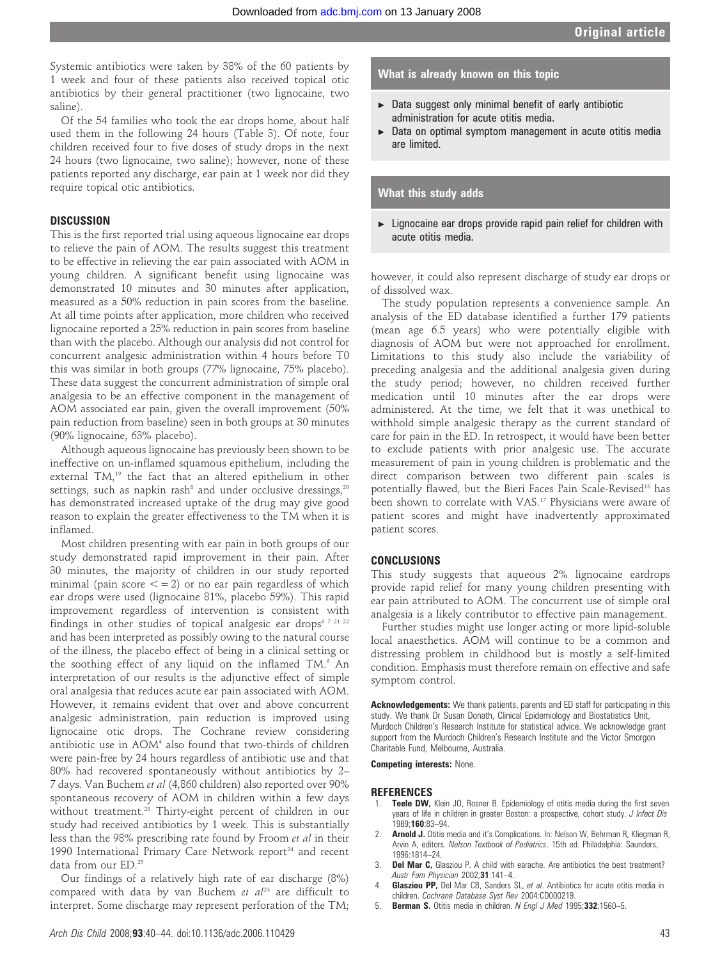Systemic antibiotics were taken by 38% of the 60 patients by 1 week and four of these patients also received topical otic antibiotics by their general practitioner (two lignocaine, two saline).

Of the 54 families who took the ear drops home, about half used them in the following 24 hours (Table 3). Of note, four children received four to five doses of study drops in the next 24 hours (two lignocaine, two saline); however, none of these patients reported any discharge, ear pain at 1 week nor did they require topical otic antibiotics.

### **DISCUSSION**

This is the first reported trial using aqueous lignocaine ear drops to relieve the pain of AOM. The results suggest this treatment to be effective in relieving the ear pain associated with AOM in young children. A significant benefit using lignocaine was demonstrated 10 minutes and 30 minutes after application, measured as a 50% reduction in pain scores from the baseline. At all time points after application, more children who received lignocaine reported a 25% reduction in pain scores from baseline than with the placebo. Although our analysis did not control for concurrent analgesic administration within 4 hours before T0 this was similar in both groups (77% lignocaine, 75% placebo). These data suggest the concurrent administration of simple oral analgesia to be an effective component in the management of AOM associated ear pain, given the overall improvement (50% pain reduction from baseline) seen in both groups at 30 minutes (90% lignocaine, 63% placebo).

Although aqueous lignocaine has previously been shown to be ineffective on un-inflamed squamous epithelium, including the external TM,<sup>19</sup> the fact that an altered epithelium in other settings, such as napkin rash<sup>8</sup> and under occlusive dressings,<sup>20</sup> has demonstrated increased uptake of the drug may give good reason to explain the greater effectiveness to the TM when it is inflamed.

Most children presenting with ear pain in both groups of our study demonstrated rapid improvement in their pain. After 30 minutes, the majority of children in our study reported minimal (pain score  $\lt = 2$ ) or no ear pain regardless of which ear drops were used (lignocaine 81%, placebo 59%). This rapid improvement regardless of intervention is consistent with findings in other studies of topical analgesic ear drops<sup>6 7 21 22</sup> and has been interpreted as possibly owing to the natural course of the illness, the placebo effect of being in a clinical setting or the soothing effect of any liquid on the inflamed TM.<sup>6</sup> An interpretation of our results is the adjunctive effect of simple oral analgesia that reduces acute ear pain associated with AOM. However, it remains evident that over and above concurrent analgesic administration, pain reduction is improved using lignocaine otic drops. The Cochrane review considering antibiotic use in AOM<sup>4</sup> also found that two-thirds of children were pain-free by 24 hours regardless of antibiotic use and that 80% had recovered spontaneously without antibiotics by 2– 7 days. Van Buchem et al (4,860 children) also reported over 90% spontaneous recovery of AOM in children within a few days without treatment.<sup>25</sup> Thirty-eight percent of children in our study had received antibiotics by 1 week. This is substantially less than the 98% prescribing rate found by Froom et al in their 1990 International Primary Care Network report<sup>24</sup> and recent data from our ED.25

Our findings of a relatively high rate of ear discharge (8%) compared with data by van Buchem et  $al^{23}$  are difficult to interpret. Some discharge may represent perforation of the TM;

## What is already known on this topic

- $\triangleright$  Data suggest only minimal benefit of early antibiotic administration for acute otitis media.
- $\triangleright$  Data on optimal symptom management in acute otitis media are limited.

### What this study adds

 $\blacktriangleright$  Lignocaine ear drops provide rapid pain relief for children with acute otitis media.

however, it could also represent discharge of study ear drops or of dissolved wax.

The study population represents a convenience sample. An analysis of the ED database identified a further 179 patients (mean age 6.5 years) who were potentially eligible with diagnosis of AOM but were not approached for enrollment. Limitations to this study also include the variability of preceding analgesia and the additional analgesia given during the study period; however, no children received further medication until 10 minutes after the ear drops were administered. At the time, we felt that it was unethical to withhold simple analgesic therapy as the current standard of care for pain in the ED. In retrospect, it would have been better to exclude patients with prior analgesic use. The accurate measurement of pain in young children is problematic and the direct comparison between two different pain scales is potentially flawed, but the Bieri Faces Pain Scale-Revised<sup>16</sup> has been shown to correlate with VAS.<sup>17</sup> Physicians were aware of patient scores and might have inadvertently approximated patient scores.

#### CONCLUSIONS

This study suggests that aqueous 2% lignocaine eardrops provide rapid relief for many young children presenting with ear pain attributed to AOM. The concurrent use of simple oral analgesia is a likely contributor to effective pain management.

Further studies might use longer acting or more lipid-soluble local anaesthetics. AOM will continue to be a common and distressing problem in childhood but is mostly a self-limited condition. Emphasis must therefore remain on effective and safe symptom control.

Acknowledgements: We thank patients, parents and ED staff for participating in this study. We thank Dr Susan Donath, Clinical Epidemiology and Biostatistics Unit, Murdoch Children's Research Institute for statistical advice. We acknowledge grant support from the Murdoch Children's Research Institute and the Victor Smorgon Charitable Fund, Melbourne, Australia.

Competing interests: None.

#### REFERENCES

- 1. **Teele DW,** Klein JO, Rosner B. Epidemiology of otitis media during the first seven years of life in children in greater Boston: a prospective, cohort study. J Infect Dis 1989;160:83–94.
- Arnold J. Otitis media and it's Complications. In: Nelson W, Behrman R, Kliegman R, Arvin A, editors. Nelson Textbook of Pediatrics. 15th ed. Philadelphia: Saunders, 1996:1814–24.
- 3. Del Mar C, Glasziou P. A child with earache. Are antibiotics the best treatment? Austr Fam Physician 2002;31:141-4.
- Glasziou PP, Del Mar CB, Sanders SL, et al. Antibiotics for acute otitis media in children. Cochrane Database Syst Rev 2004:CD000219.
- 5. Berman S. Otitis media in children. N Engl J Med 1995;332:1560-5.